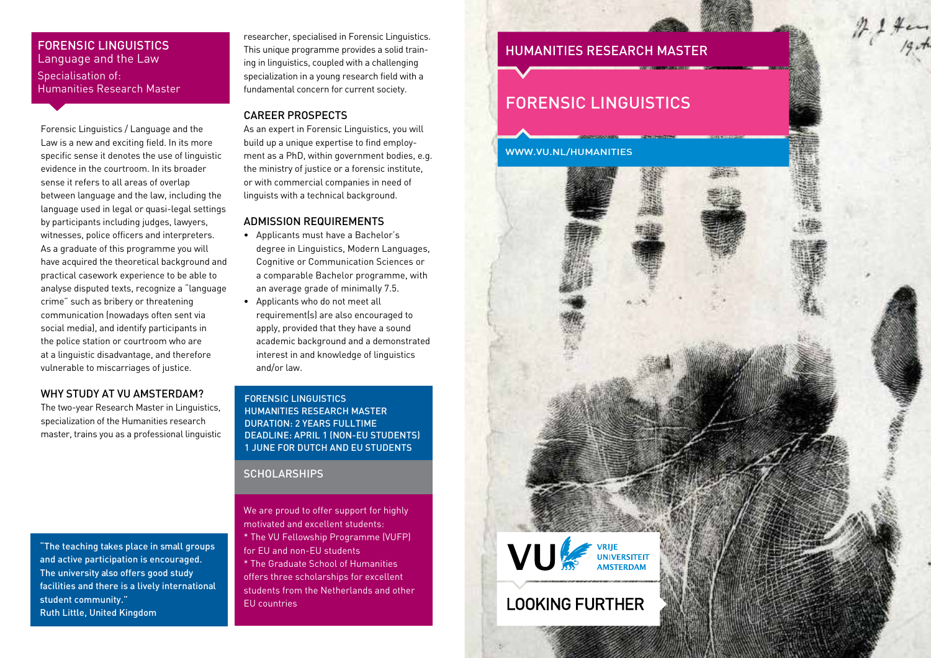## FORENSIC LINGUISTICS Language and the Law Specialisation of: Humanities Research Master

Forensic Linguistics / Language and the Law is a new and exciting field. In its more specific sense it denotes the use of linguistic evidence in the courtroom. In its broader sense it refers to all areas of overlap between language and the law, including the language used in legal or quasi-legal settings by participants including judges, lawyers, witnesses, police officers and interpreters. As a graduate of this programme you will have acquired the theoretical background and practical casework experience to be able to analyse disputed texts, recognize a "language crime" such as bribery or threatening communication (nowadays often sent via social media), and identify participants in the police station or courtroom who are at a linguistic disadvantage, and therefore vulnerable to miscarriages of justice.

#### WHY STUDY AT VU AMSTERDAM?

The two-year Research Master in Linguistics, specialization of the Humanities research master, trains you as a professional linguistic

"The teaching takes place in small groups and active participation is encouraged. The university also offers good study facilities and there is a lively international student community." Ruth Little, United Kingdom

researcher, specialised in Forensic Linguistics. This unique programme provides a solid training in linguistics, coupled with a challenging specialization in a young research field with a fundamental concern for current society.

#### CAREER PROSPECTS

As an expert in Forensic Linguistics, you will build up a unique expertise to find employment as a PhD, within government bodies, e.g. the ministry of justice or a forensic institute, or with commercial companies in need of linguists with a technical background.

#### ADMISSION REQUIREMENTS

- Applicants must have a Bachelor's degree in Linguistics, Modern Languages, Cognitive or Communication Sciences or a comparable Bachelor programme, with an average grade of minimally 7.5.
- Applicants who do not meet all requirement(s) are also encouraged to apply, provided that they have a sound academic background and a demonstrated interest in and knowledge of linguistics and/or law.

#### FORENSIC LINGUISTICS HUMANITIES RESEARCH MASTER DURATION: 2 YEARS FULLTIME DEADLINE: APRIL 1 (NON-EU STUDENTS) 1 JUNE FOR DUTCH AND EU STUDENTS

#### **SCHOLARSHIPS**

We are proud to offer support for highly motivated and excellent students: \* The VU Fellowship Programme (VUFP) for EU and non-EU students

\* The Graduate School of Humanities offers three scholarships for excellent students from the Netherlands and other EU countries

# HUMANITIES RESEARCH MASTER

# FORENSIC LINGUISTICS



VU ANSE UNIVERSITEIT

**LOOKING FURTHER**